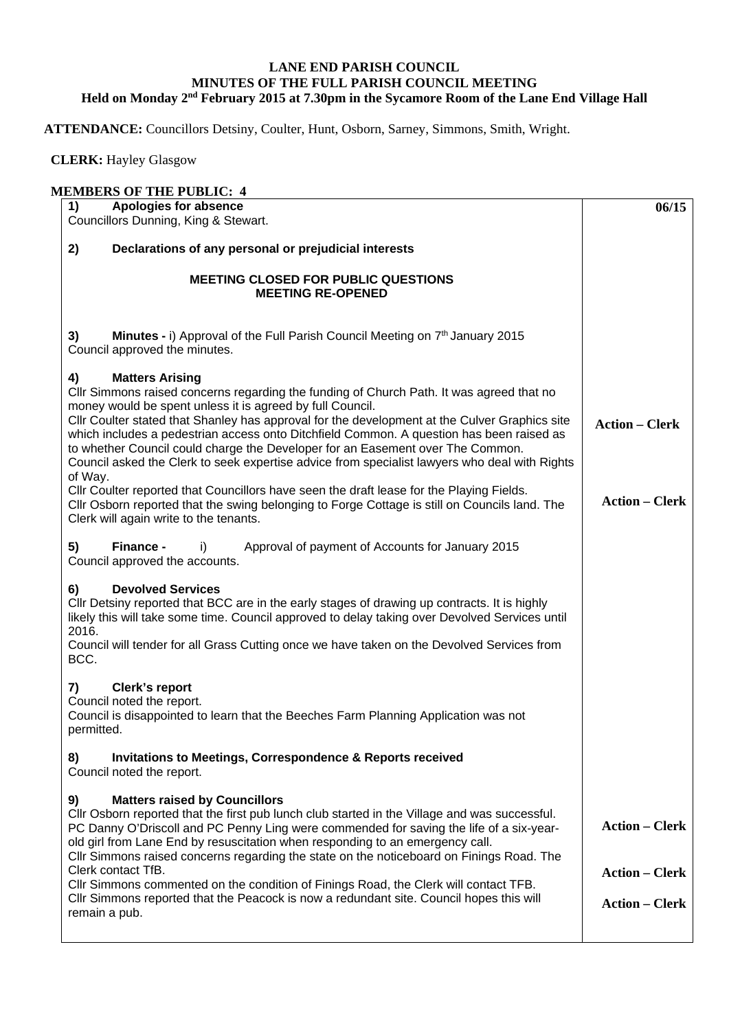## **LANE END PARISH COUNCIL MINUTES OF THE FULL PARISH COUNCIL MEETING Held on Monday 2nd February 2015 at 7.30pm in the Sycamore Room of the Lane End Village Hall**

**ATTENDANCE:** Councillors Detsiny, Coulter, Hunt, Osborn, Sarney, Simmons, Smith, Wright.

 **CLERK:** Hayley Glasgow

| <b>MEMBERS OF THE PUBLIC: 4</b> |                                                                                                                                                                                                                                                                                                                                                                                                                                                                                                                                                                 |                                                |  |
|---------------------------------|-----------------------------------------------------------------------------------------------------------------------------------------------------------------------------------------------------------------------------------------------------------------------------------------------------------------------------------------------------------------------------------------------------------------------------------------------------------------------------------------------------------------------------------------------------------------|------------------------------------------------|--|
| 1)                              | Apologies for absence<br>Councillors Dunning, King & Stewart.                                                                                                                                                                                                                                                                                                                                                                                                                                                                                                   | 06/15                                          |  |
| 2)                              | Declarations of any personal or prejudicial interests                                                                                                                                                                                                                                                                                                                                                                                                                                                                                                           |                                                |  |
|                                 | <b>MEETING CLOSED FOR PUBLIC QUESTIONS</b><br><b>MEETING RE-OPENED</b>                                                                                                                                                                                                                                                                                                                                                                                                                                                                                          |                                                |  |
| 3)                              | Minutes - i) Approval of the Full Parish Council Meeting on 7 <sup>th</sup> January 2015<br>Council approved the minutes.                                                                                                                                                                                                                                                                                                                                                                                                                                       |                                                |  |
| 4)<br>of Way.                   | <b>Matters Arising</b><br>Cllr Simmons raised concerns regarding the funding of Church Path. It was agreed that no<br>money would be spent unless it is agreed by full Council.<br>Cllr Coulter stated that Shanley has approval for the development at the Culver Graphics site<br>which includes a pedestrian access onto Ditchfield Common. A question has been raised as<br>to whether Council could charge the Developer for an Easement over The Common.<br>Council asked the Clerk to seek expertise advice from specialist lawyers who deal with Rights | <b>Action - Clerk</b>                          |  |
|                                 | CIIr Coulter reported that Councillors have seen the draft lease for the Playing Fields.<br>CIIr Osborn reported that the swing belonging to Forge Cottage is still on Councils land. The<br>Clerk will again write to the tenants.                                                                                                                                                                                                                                                                                                                             | <b>Action – Clerk</b>                          |  |
| 5)                              | Finance -<br>Approval of payment of Accounts for January 2015<br>I)<br>Council approved the accounts.                                                                                                                                                                                                                                                                                                                                                                                                                                                           |                                                |  |
| 6)<br>2016.<br>BCC.             | <b>Devolved Services</b><br>Cllr Detsiny reported that BCC are in the early stages of drawing up contracts. It is highly<br>likely this will take some time. Council approved to delay taking over Devolved Services until<br>Council will tender for all Grass Cutting once we have taken on the Devolved Services from                                                                                                                                                                                                                                        |                                                |  |
| 7)                              | <b>Clerk's report</b><br>Council noted the report.<br>Council is disappointed to learn that the Beeches Farm Planning Application was not<br>permitted.                                                                                                                                                                                                                                                                                                                                                                                                         |                                                |  |
| 8)                              | <b>Invitations to Meetings, Correspondence &amp; Reports received</b><br>Council noted the report.                                                                                                                                                                                                                                                                                                                                                                                                                                                              |                                                |  |
| 9)                              | <b>Matters raised by Councillors</b><br>CIIr Osborn reported that the first pub lunch club started in the Village and was successful.<br>PC Danny O'Driscoll and PC Penny Ling were commended for saving the life of a six-year-<br>old girl from Lane End by resuscitation when responding to an emergency call.                                                                                                                                                                                                                                               | <b>Action - Clerk</b>                          |  |
|                                 | CIIr Simmons raised concerns regarding the state on the noticeboard on Finings Road. The<br>Clerk contact TfB.<br>CIIr Simmons commented on the condition of Finings Road, the Clerk will contact TFB.<br>Cllr Simmons reported that the Peacock is now a redundant site. Council hopes this will<br>remain a pub.                                                                                                                                                                                                                                              | <b>Action - Clerk</b><br><b>Action – Clerk</b> |  |
|                                 |                                                                                                                                                                                                                                                                                                                                                                                                                                                                                                                                                                 |                                                |  |